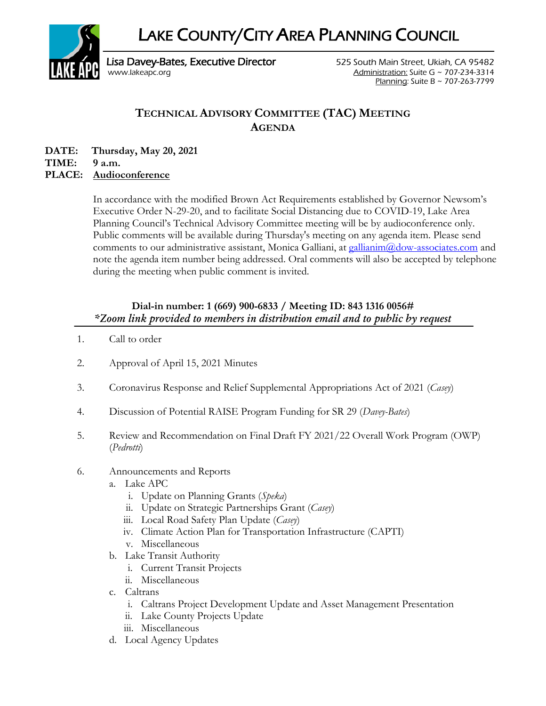LAKE COUNTY/CITY AREA PLANNING COUNCIL



Lisa Davey-Bates, Executive Director **525 South Main Street, Ukiah, CA 95482** [www.lakeapc.org](http://www.lakeapc.org/) Administration: Suite G ~ 707-234-3314 Planning: Suite B ~ 707-263-7799

## **TECHNICAL ADVISORY COMMITTEE (TAC) MEETING AGENDA**

**DATE: Thursday, May 20, 2021 TIME: 9 a.m.**

## **PLACE: Audioconference**

In accordance with the modified Brown Act Requirements established by Governor Newsom's Executive Order N-29-20, and to facilitate Social Distancing due to COVID-19, Lake Area Planning Council's Technical Advisory Committee meeting will be by audioconference only. Public comments will be available during Thursday's meeting on any agenda item. Please send comments to our administrative assistant, Monica Galliani, at [gallianim@dow-associates.com](mailto:gallianim@dow-associates.com) and note the agenda item number being addressed. Oral comments will also be accepted by telephone during the meeting when public comment is invited.

## **Dial-in number: 1 (669) 900-6833 / Meeting ID: 843 1316 0056#** *\*Zoom link provided to members in distribution email and to public by request*

- 1. Call to order
- 2. Approval of April 15, 2021 Minutes
- 3. Coronavirus Response and Relief Supplemental Appropriations Act of 2021 (*Casey*)
- 4. Discussion of Potential RAISE Program Funding for SR 29 (*Davey-Bates*)
- 5. Review and Recommendation on Final Draft FY 2021/22 Overall Work Program (OWP) (*Pedrotti*)
- 6. Announcements and Reports
	- a. Lake APC
		- i. Update on Planning Grants (*Speka*)
		- ii. Update on Strategic Partnerships Grant (*Casey*)
		- iii. Local Road Safety Plan Update (*Casey*)
		- iv. Climate Action Plan for Transportation Infrastructure (CAPTI)
		- v. Miscellaneous
	- b. Lake Transit Authority
		- i. Current Transit Projects
		- ii. Miscellaneous
	- c. Caltrans
		- i. Caltrans Project Development Update and Asset Management Presentation
		- ii. Lake County Projects Update
		- iii. Miscellaneous
	- d. Local Agency Updates